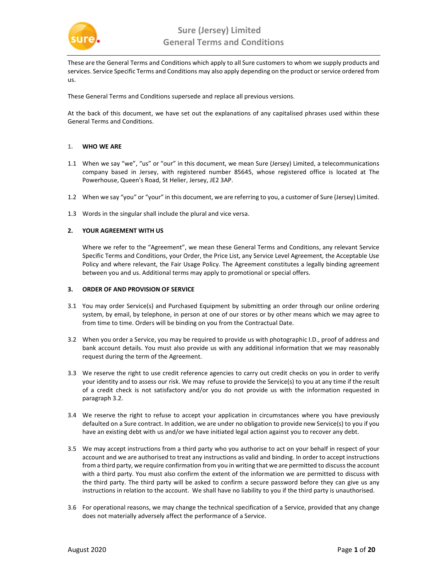

These are the General Terms and Conditions which apply to all Sure customers to whom we supply products and services. Service Specific Terms and Conditions may also apply depending on the product or service ordered from us.

These General Terms and Conditions supersede and replace all previous versions.

At the back of this document, we have set out the explanations of any capitalised phrases used within these General Terms and Conditions.

### 1. WHO WE ARE

- 1.1 When we say "we", "us" or "our" in this document, we mean Sure (Jersey) Limited, a telecommunications company based in Jersey, with registered number 85645, whose registered office is located at The Powerhouse, Queen's Road, St Helier, Jersey, JE2 3AP.
- 1.2 When we say "you" or "your" in this document, we are referring to you, a customer of Sure (Jersey) Limited.
- 1.3 Words in the singular shall include the plural and vice versa.

### 2. YOUR AGREEMENT WITH US

Where we refer to the "Agreement", we mean these General Terms and Conditions, any relevant Service Specific Terms and Conditions, your Order, the Price List, any Service Level Agreement, the Acceptable Use Policy and where relevant, the Fair Usage Policy. The Agreement constitutes a legally binding agreement between you and us. Additional terms may apply to promotional or special offers.

### 3. ORDER OF AND PROVISION OF SERVICE

- 3.1 You may order Service(s) and Purchased Equipment by submitting an order through our online ordering system, by email, by telephone, in person at one of our stores or by other means which we may agree to from time to time. Orders will be binding on you from the Contractual Date.
- 3.2 When you order a Service, you may be required to provide us with photographic I.D., proof of address and bank account details. You must also provide us with any additional information that we may reasonably request during the term of the Agreement.
- 3.3 We reserve the right to use credit reference agencies to carry out credit checks on you in order to verify your identity and to assess our risk. We may refuse to provide the Service(s) to you at any time if the result of a credit check is not satisfactory and/or you do not provide us with the information requested in paragraph 3.2.
- 3.4 We reserve the right to refuse to accept your application in circumstances where you have previously defaulted on a Sure contract. In addition, we are under no obligation to provide new Service(s) to you if you have an existing debt with us and/or we have initiated legal action against you to recover any debt.
- 3.5 We may accept instructions from a third party who you authorise to act on your behalf in respect of your account and we are authorised to treat any instructions as valid and binding. In order to accept instructions from a third party, we require confirmation from you in writing that we are permitted to discuss the account with a third party. You must also confirm the extent of the information we are permitted to discuss with the third party. The third party will be asked to confirm a secure password before they can give us any instructions in relation to the account. We shall have no liability to you if the third party is unauthorised.
- 3.6 For operational reasons, we may change the technical specification of a Service, provided that any change does not materially adversely affect the performance of a Service.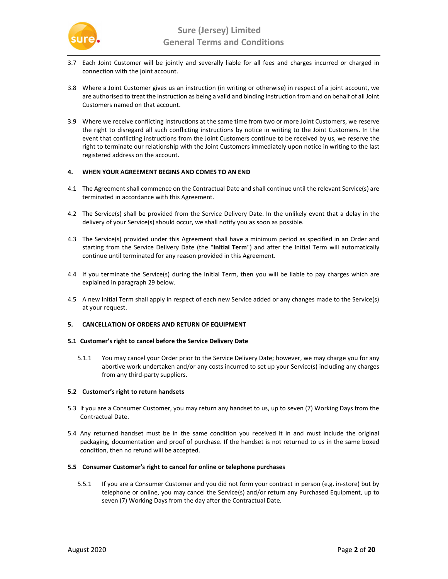

- 3.7 Each Joint Customer will be jointly and severally liable for all fees and charges incurred or charged in connection with the joint account.
- 3.8 Where a Joint Customer gives us an instruction (in writing or otherwise) in respect of a joint account, we are authorised to treat the instruction as being a valid and binding instruction from and on behalf of all Joint Customers named on that account.
- 3.9 Where we receive conflicting instructions at the same time from two or more Joint Customers, we reserve the right to disregard all such conflicting instructions by notice in writing to the Joint Customers. In the event that conflicting instructions from the Joint Customers continue to be received by us, we reserve the right to terminate our relationship with the Joint Customers immediately upon notice in writing to the last registered address on the account.

# 4. WHEN YOUR AGREEMENT BEGINS AND COMES TO AN END

- 4.1 The Agreement shall commence on the Contractual Date and shall continue until the relevant Service(s) are terminated in accordance with this Agreement.
- 4.2 The Service(s) shall be provided from the Service Delivery Date. In the unlikely event that a delay in the delivery of your Service(s) should occur, we shall notify you as soon as possible.
- 4.3 The Service(s) provided under this Agreement shall have a minimum period as specified in an Order and starting from the Service Delivery Date (the "Initial Term") and after the Initial Term will automatically continue until terminated for any reason provided in this Agreement.
- 4.4 If you terminate the Service(s) during the Initial Term, then you will be liable to pay charges which are explained in paragraph 29 below.
- 4.5 A new Initial Term shall apply in respect of each new Service added or any changes made to the Service(s) at your request.

# 5. CANCELLATION OF ORDERS AND RETURN OF EQUIPMENT

#### 5.1 Customer's right to cancel before the Service Delivery Date

5.1.1 You may cancel your Order prior to the Service Delivery Date; however, we may charge you for any abortive work undertaken and/or any costs incurred to set up your Service(s) including any charges from any third-party suppliers.

#### 5.2 Customer's right to return handsets

- 5.3 If you are a Consumer Customer, you may return any handset to us, up to seven (7) Working Days from the Contractual Date.
- 5.4 Any returned handset must be in the same condition you received it in and must include the original packaging, documentation and proof of purchase. If the handset is not returned to us in the same boxed condition, then no refund will be accepted.

#### 5.5 Consumer Customer's right to cancel for online or telephone purchases

5.5.1 If you are a Consumer Customer and you did not form your contract in person (e.g. in-store) but by telephone or online, you may cancel the Service(s) and/or return any Purchased Equipment, up to seven (7) Working Days from the day after the Contractual Date.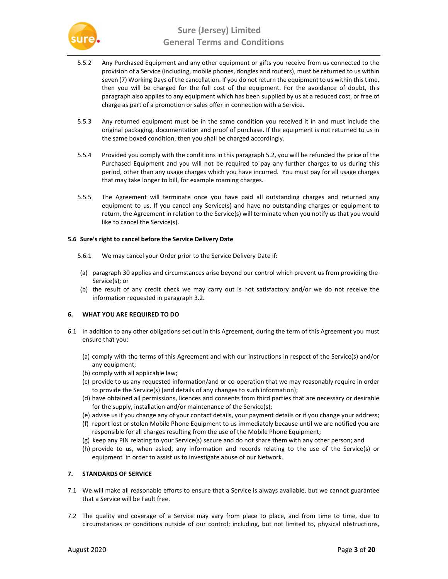

- 5.5.2 Any Purchased Equipment and any other equipment or gifts you receive from us connected to the provision of a Service (including, mobile phones, dongles and routers), must be returned to us within seven (7) Working Days of the cancellation. If you do not return the equipment to us within this time, then you will be charged for the full cost of the equipment. For the avoidance of doubt, this paragraph also applies to any equipment which has been supplied by us at a reduced cost, or free of charge as part of a promotion or sales offer in connection with a Service.
- 5.5.3 Any returned equipment must be in the same condition you received it in and must include the original packaging, documentation and proof of purchase. If the equipment is not returned to us in the same boxed condition, then you shall be charged accordingly.
- 5.5.4 Provided you comply with the conditions in this paragraph 5.2, you will be refunded the price of the Purchased Equipment and you will not be required to pay any further charges to us during this period, other than any usage charges which you have incurred. You must pay for all usage charges that may take longer to bill, for example roaming charges.
- 5.5.5 The Agreement will terminate once you have paid all outstanding charges and returned any equipment to us. If you cancel any Service(s) and have no outstanding charges or equipment to return, the Agreement in relation to the Service(s) will terminate when you notify us that you would like to cancel the Service(s).

### 5.6 Sure's right to cancel before the Service Delivery Date

- 5.6.1 We may cancel your Order prior to the Service Delivery Date if:
- (a) paragraph 30 applies and circumstances arise beyond our control which prevent us from providing the Service(s); or
- (b) the result of any credit check we may carry out is not satisfactory and/or we do not receive the information requested in paragraph 3.2.

# 6. WHAT YOU ARE REQUIRED TO DO

- 6.1 In addition to any other obligations set out in this Agreement, during the term of this Agreement you must ensure that you:
	- (a) comply with the terms of this Agreement and with our instructions in respect of the Service(s) and/or any equipment;
	- (b) comply with all applicable law;
	- (c) provide to us any requested information/and or co-operation that we may reasonably require in order to provide the Service(s) (and details of any changes to such information);
	- (d) have obtained all permissions, licences and consents from third parties that are necessary or desirable for the supply, installation and/or maintenance of the Service(s);
	- (e) advise us if you change any of your contact details, your payment details or if you change your address;
	- (f) report lost or stolen Mobile Phone Equipment to us immediately because until we are notified you are responsible for all charges resulting from the use of the Mobile Phone Equipment;
	- (g) keep any PIN relating to your Service(s) secure and do not share them with any other person; and
	- (h) provide to us, when asked, any information and records relating to the use of the Service(s) or equipment in order to assist us to investigate abuse of our Network.

# 7. STANDARDS OF SERVICE

- 7.1 We will make all reasonable efforts to ensure that a Service is always available, but we cannot guarantee that a Service will be Fault free.
- 7.2 The quality and coverage of a Service may vary from place to place, and from time to time, due to circumstances or conditions outside of our control; including, but not limited to, physical obstructions,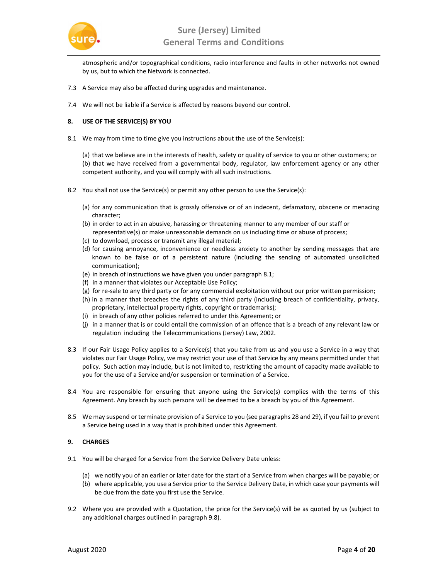

atmospheric and/or topographical conditions, radio interference and faults in other networks not owned by us, but to which the Network is connected.

- 7.3 A Service may also be affected during upgrades and maintenance.
- 7.4 We will not be liable if a Service is affected by reasons beyond our control.

# 8. USE OF THE SERVICE(S) BY YOU

8.1 We may from time to time give you instructions about the use of the Service(s):

(a) that we believe are in the interests of health, safety or quality of service to you or other customers; or (b) that we have received from a governmental body, regulator, law enforcement agency or any other competent authority, and you will comply with all such instructions.

- 8.2 You shall not use the Service(s) or permit any other person to use the Service(s):
	- (a) for any communication that is grossly offensive or of an indecent, defamatory, obscene or menacing character;
	- (b) in order to act in an abusive, harassing or threatening manner to any member of our staff or representative(s) or make unreasonable demands on us including time or abuse of process;
	- (c) to download, process or transmit any illegal material;
	- (d) for causing annoyance, inconvenience or needless anxiety to another by sending messages that are known to be false or of a persistent nature (including the sending of automated unsolicited communication);
	- (e) in breach of instructions we have given you under paragraph 8.1;
	- (f) in a manner that violates our Acceptable Use Policy;
	- (g) for re-sale to any third party or for any commercial exploitation without our prior written permission;
	- (h) in a manner that breaches the rights of any third party (including breach of confidentiality, privacy, proprietary, intellectual property rights, copyright or trademarks);
	- (i) in breach of any other policies referred to under this Agreement; or
	- (j) in a manner that is or could entail the commission of an offence that is a breach of any relevant law or regulation including the Telecommunications (Jersey) Law, 2002.
- 8.3 If our Fair Usage Policy applies to a Service(s) that you take from us and you use a Service in a way that violates our Fair Usage Policy, we may restrict your use of that Service by any means permitted under that policy. Such action may include, but is not limited to, restricting the amount of capacity made available to you for the use of a Service and/or suspension or termination of a Service.
- 8.4 You are responsible for ensuring that anyone using the Service(s) complies with the terms of this Agreement. Any breach by such persons will be deemed to be a breach by you of this Agreement.
- 8.5 We may suspend or terminate provision of a Service to you (see paragraphs 28 and 29), if you fail to prevent a Service being used in a way that is prohibited under this Agreement.

# 9. CHARGES

- 9.1 You will be charged for a Service from the Service Delivery Date unless:
	- (a) we notify you of an earlier or later date for the start of a Service from when charges will be payable; or
	- (b) where applicable, you use a Service prior to the Service Delivery Date, in which case your payments will be due from the date you first use the Service.
- 9.2 Where you are provided with a Quotation, the price for the Service(s) will be as quoted by us (subject to any additional charges outlined in paragraph 9.8).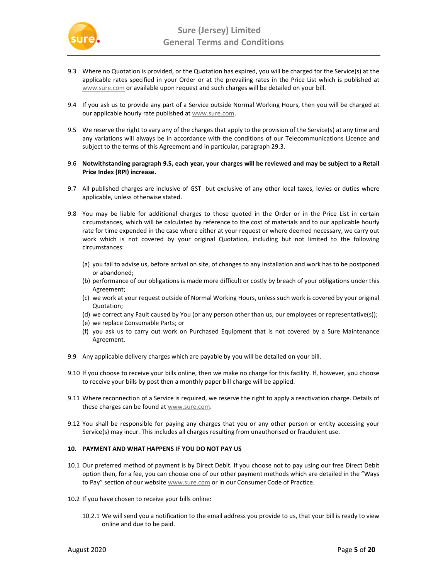

- 9.3 Where no Quotation is provided, or the Quotation has expired, you will be charged for the Service(s) at the applicable rates specified in your Order or at the prevailing rates in the Price List which is published at www.sure.com or available upon request and such charges will be detailed on your bill.
- 9.4 If you ask us to provide any part of a Service outside Normal Working Hours, then you will be charged at our applicable hourly rate published at www.sure.com.
- 9.5 We reserve the right to vary any of the charges that apply to the provision of the Service(s) at any time and any variations will always be in accordance with the conditions of our Telecommunications Licence and subject to the terms of this Agreement and in particular, paragraph 29.3.
- 9.6 Notwithstanding paragraph 9.5, each year, your charges will be reviewed and may be subject to a Retail Price Index (RPI) increase.
- 9.7 All published charges are inclusive of GST but exclusive of any other local taxes, levies or duties where applicable, unless otherwise stated.
- 9.8 You may be liable for additional charges to those quoted in the Order or in the Price List in certain circumstances, which will be calculated by reference to the cost of materials and to our applicable hourly rate for time expended in the case where either at your request or where deemed necessary, we carry out work which is not covered by your original Quotation, including but not limited to the following circumstances:
	- (a) you fail to advise us, before arrival on site, of changes to any installation and work has to be postponed or abandoned;
	- (b) performance of our obligations is made more difficult or costly by breach of your obligations under this Agreement;
	- (c) we work at your request outside of Normal Working Hours, unless such work is covered by your original Quotation;
	- (d) we correct any Fault caused by You (or any person other than us, our employees or representative(s));
	- (e) we replace Consumable Parts; or
	- (f) you ask us to carry out work on Purchased Equipment that is not covered by a Sure Maintenance Agreement.
- 9.9 Any applicable delivery charges which are payable by you will be detailed on your bill.
- 9.10 If you choose to receive your bills online, then we make no charge for this facility. If, however, you choose to receive your bills by post then a monthly paper bill charge will be applied.
- 9.11 Where reconnection of a Service is required, we reserve the right to apply a reactivation charge. Details of these charges can be found at www.sure.com.
- 9.12 You shall be responsible for paying any charges that you or any other person or entity accessing your Service(s) may incur. This includes all charges resulting from unauthorised or fraudulent use.

# 10. PAYMENT AND WHAT HAPPENS IF YOU DO NOT PAY US

- 10.1 Our preferred method of payment is by Direct Debit. If you choose not to pay using our free Direct Debit option then, for a fee, you can choose one of our other payment methods which are detailed in the "Ways to Pay" section of our website www.sure.com or in our Consumer Code of Practice.
- 10.2 If you have chosen to receive your bills online:
	- 10.2.1 We will send you a notification to the email address you provide to us, that your bill is ready to view online and due to be paid.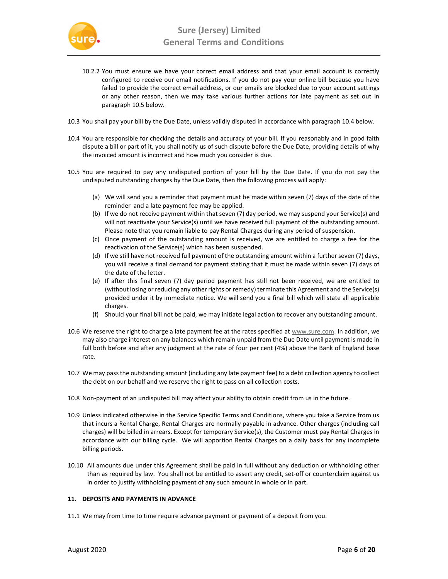

- 10.2.2 You must ensure we have your correct email address and that your email account is correctly configured to receive our email notifications. If you do not pay your online bill because you have failed to provide the correct email address, or our emails are blocked due to your account settings or any other reason, then we may take various further actions for late payment as set out in paragraph 10.5 below.
- 10.3 You shall pay your bill by the Due Date, unless validly disputed in accordance with paragraph 10.4 below.
- 10.4 You are responsible for checking the details and accuracy of your bill. If you reasonably and in good faith dispute a bill or part of it, you shall notify us of such dispute before the Due Date, providing details of why the invoiced amount is incorrect and how much you consider is due.
- 10.5 You are required to pay any undisputed portion of your bill by the Due Date. If you do not pay the undisputed outstanding charges by the Due Date, then the following process will apply:
	- (a) We will send you a reminder that payment must be made within seven (7) days of the date of the reminder and a late payment fee may be applied.
	- (b) If we do not receive payment within that seven (7) day period, we may suspend your Service(s) and will not reactivate your Service(s) until we have received full payment of the outstanding amount. Please note that you remain liable to pay Rental Charges during any period of suspension.
	- (c) Once payment of the outstanding amount is received, we are entitled to charge a fee for the reactivation of the Service(s) which has been suspended.
	- (d) If we still have not received full payment of the outstanding amount within a further seven (7) days, you will receive a final demand for payment stating that it must be made within seven (7) days of the date of the letter.
	- (e) If after this final seven (7) day period payment has still not been received, we are entitled to (without losing or reducing any other rights or remedy) terminate this Agreement and the Service(s) provided under it by immediate notice. We will send you a final bill which will state all applicable charges.
	- (f) Should your final bill not be paid, we may initiate legal action to recover any outstanding amount.
- 10.6 We reserve the right to charge a late payment fee at the rates specified at www.sure.com. In addition, we may also charge interest on any balances which remain unpaid from the Due Date until payment is made in full both before and after any judgment at the rate of four per cent (4%) above the Bank of England base rate.
- 10.7 We may pass the outstanding amount (including any late payment fee) to a debt collection agency to collect the debt on our behalf and we reserve the right to pass on all collection costs.
- 10.8 Non-payment of an undisputed bill may affect your ability to obtain credit from us in the future.
- 10.9 Unless indicated otherwise in the Service Specific Terms and Conditions, where you take a Service from us that incurs a Rental Charge, Rental Charges are normally payable in advance. Other charges (including call charges) will be billed in arrears. Except for temporary Service(s), the Customer must pay Rental Charges in accordance with our billing cycle. We will apportion Rental Charges on a daily basis for any incomplete billing periods.
- 10.10 All amounts due under this Agreement shall be paid in full without any deduction or withholding other than as required by law. You shall not be entitled to assert any credit, set-off or counterclaim against us in order to justify withholding payment of any such amount in whole or in part.

# 11. DEPOSITS AND PAYMENTS IN ADVANCE

11.1 We may from time to time require advance payment or payment of a deposit from you.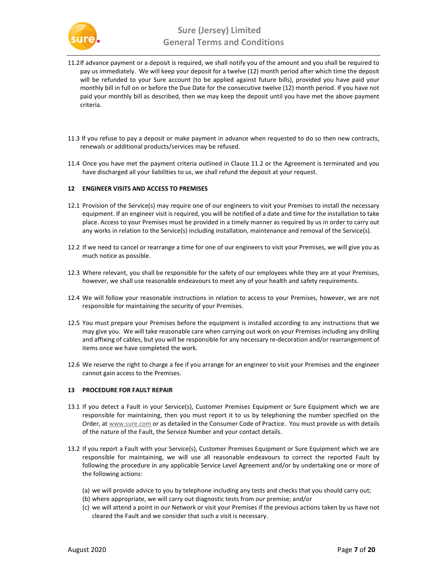

- 11.2If advance payment or a deposit is required, we shall notify you of the amount and you shall be required to pay us immediately. We will keep your deposit for a twelve (12) month period after which time the deposit will be refunded to your Sure account (to be applied against future bills), provided you have paid your monthly bill in full on or before the Due Date for the consecutive twelve (12) month period. If you have not paid your monthly bill as described, then we may keep the deposit until you have met the above payment criteria.
- 11.3 If you refuse to pay a deposit or make payment in advance when requested to do so then new contracts, renewals or additional products/services may be refused.
- 11.4 Once you have met the payment criteria outlined in Clause 11.2 or the Agreement is terminated and you have discharged all your liabilities to us, we shall refund the deposit at your request.

### 12 ENGINEER VISITS AND ACCESS TO PREMISES

- 12.1 Provision of the Service(s) may require one of our engineers to visit your Premises to install the necessary equipment. If an engineer visit is required, you will be notified of a date and time for the installation to take place. Access to your Premises must be provided in a timely manner as required by us in order to carry out any works in relation to the Service(s) including installation, maintenance and removal of the Service(s).
- 12.2 If we need to cancel or rearrange a time for one of our engineers to visit your Premises, we will give you as much notice as possible.
- 12.3 Where relevant, you shall be responsible for the safety of our employees while they are at your Premises, however, we shall use reasonable endeavours to meet any of your health and safety requirements.
- 12.4 We will follow your reasonable instructions in relation to access to your Premises, however, we are not responsible for maintaining the security of your Premises.
- 12.5 You must prepare your Premises before the equipment is installed according to any instructions that we may give you. We will take reasonable care when carrying out work on your Premises including any drilling and affixing of cables, but you will be responsible for any necessary re-decoration and/or rearrangement of items once we have completed the work.
- 12.6 We reserve the right to charge a fee if you arrange for an engineer to visit your Premises and the engineer cannot gain access to the Premises.

#### 13 PROCEDURE FOR FAULT REPAIR

- 13.1 If you detect a Fault in your Service(s), Customer Premises Equipment or Sure Equipment which we are responsible for maintaining, then you must report it to us by telephoning the number specified on the Order, at www.sure.com or as detailed in the Consumer Code of Practice. You must provide us with details of the nature of the Fault, the Service Number and your contact details.
- 13.2 If you report a Fault with your Service(s), Customer Premises Equipment or Sure Equipment which we are responsible for maintaining, we will use all reasonable endeavours to correct the reported Fault by following the procedure in any applicable Service Level Agreement and/or by undertaking one or more of the following actions:
	- (a) we will provide advice to you by telephone including any tests and checks that you should carry out;
	- (b) where appropriate, we will carry out diagnostic tests from our premise; and/or
	- (c) we will attend a point in our Network or visit your Premises if the previous actions taken by us have not cleared the Fault and we consider that such a visit is necessary.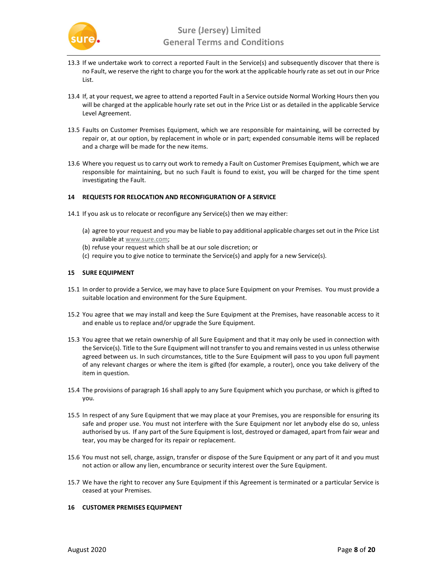

- 13.3 If we undertake work to correct a reported Fault in the Service(s) and subsequently discover that there is no Fault, we reserve the right to charge you for the work at the applicable hourly rate as set out in our Price List.
- 13.4 If, at your request, we agree to attend a reported Fault in a Service outside Normal Working Hours then you will be charged at the applicable hourly rate set out in the Price List or as detailed in the applicable Service Level Agreement.
- 13.5 Faults on Customer Premises Equipment, which we are responsible for maintaining, will be corrected by repair or, at our option, by replacement in whole or in part; expended consumable items will be replaced and a charge will be made for the new items.
- 13.6 Where you request us to carry out work to remedy a Fault on Customer Premises Equipment, which we are responsible for maintaining, but no such Fault is found to exist, you will be charged for the time spent investigating the Fault.

### 14 REQUESTS FOR RELOCATION AND RECONFIGURATION OF A SERVICE

- 14.1 If you ask us to relocate or reconfigure any Service(s) then we may either:
	- (a) agree to your request and you may be liable to pay additional applicable charges set out in the Price List available at www.sure.com;
	- (b) refuse your request which shall be at our sole discretion; or
	- (c) require you to give notice to terminate the Service(s) and apply for a new Service(s).

#### 15 SURE EQUIPMENT

- 15.1 In order to provide a Service, we may have to place Sure Equipment on your Premises. You must provide a suitable location and environment for the Sure Equipment.
- 15.2 You agree that we may install and keep the Sure Equipment at the Premises, have reasonable access to it and enable us to replace and/or upgrade the Sure Equipment.
- 15.3 You agree that we retain ownership of all Sure Equipment and that it may only be used in connection with the Service(s). Title to the Sure Equipment will not transfer to you and remains vested in us unless otherwise agreed between us. In such circumstances, title to the Sure Equipment will pass to you upon full payment of any relevant charges or where the item is gifted (for example, a router), once you take delivery of the item in question.
- 15.4 The provisions of paragraph 16 shall apply to any Sure Equipment which you purchase, or which is gifted to you.
- 15.5 In respect of any Sure Equipment that we may place at your Premises, you are responsible for ensuring its safe and proper use. You must not interfere with the Sure Equipment nor let anybody else do so, unless authorised by us. If any part of the Sure Equipment is lost, destroyed or damaged, apart from fair wear and tear, you may be charged for its repair or replacement.
- 15.6 You must not sell, charge, assign, transfer or dispose of the Sure Equipment or any part of it and you must not action or allow any lien, encumbrance or security interest over the Sure Equipment.
- 15.7 We have the right to recover any Sure Equipment if this Agreement is terminated or a particular Service is ceased at your Premises.

### 16 CUSTOMER PREMISES EQUIPMENT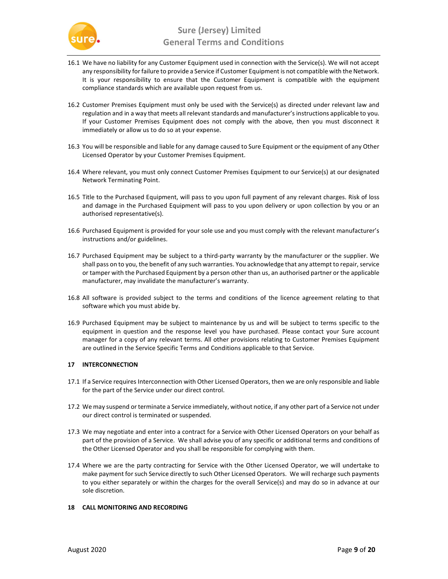

- 16.1 We have no liability for any Customer Equipment used in connection with the Service(s). We will not accept any responsibility for failure to provide a Service if Customer Equipment is not compatible with the Network. It is your responsibility to ensure that the Customer Equipment is compatible with the equipment compliance standards which are available upon request from us.
- 16.2 Customer Premises Equipment must only be used with the Service(s) as directed under relevant law and regulation and in a way that meets all relevant standards and manufacturer's instructions applicable to you. If your Customer Premises Equipment does not comply with the above, then you must disconnect it immediately or allow us to do so at your expense.
- 16.3 You will be responsible and liable for any damage caused to Sure Equipment or the equipment of any Other Licensed Operator by your Customer Premises Equipment.
- 16.4 Where relevant, you must only connect Customer Premises Equipment to our Service(s) at our designated Network Terminating Point.
- 16.5 Title to the Purchased Equipment, will pass to you upon full payment of any relevant charges. Risk of loss and damage in the Purchased Equipment will pass to you upon delivery or upon collection by you or an authorised representative(s).
- 16.6 Purchased Equipment is provided for your sole use and you must comply with the relevant manufacturer's instructions and/or guidelines.
- 16.7 Purchased Equipment may be subject to a third-party warranty by the manufacturer or the supplier. We shall pass on to you, the benefit of any such warranties. You acknowledge that any attempt to repair, service or tamper with the Purchased Equipment by a person other than us, an authorised partner or the applicable manufacturer, may invalidate the manufacturer's warranty.
- 16.8 All software is provided subject to the terms and conditions of the licence agreement relating to that software which you must abide by.
- 16.9 Purchased Equipment may be subject to maintenance by us and will be subject to terms specific to the equipment in question and the response level you have purchased. Please contact your Sure account manager for a copy of any relevant terms. All other provisions relating to Customer Premises Equipment are outlined in the Service Specific Terms and Conditions applicable to that Service.

# 17 INTERCONNECTION

- 17.1 If a Service requires Interconnection with Other Licensed Operators, then we are only responsible and liable for the part of the Service under our direct control.
- 17.2 We may suspend or terminate a Service immediately, without notice, if any other part of a Service not under our direct control is terminated or suspended.
- 17.3 We may negotiate and enter into a contract for a Service with Other Licensed Operators on your behalf as part of the provision of a Service. We shall advise you of any specific or additional terms and conditions of the Other Licensed Operator and you shall be responsible for complying with them.
- 17.4 Where we are the party contracting for Service with the Other Licensed Operator, we will undertake to make payment for such Service directly to such Other Licensed Operators. We will recharge such payments to you either separately or within the charges for the overall Service(s) and may do so in advance at our sole discretion.

# 18 CALL MONITORING AND RECORDING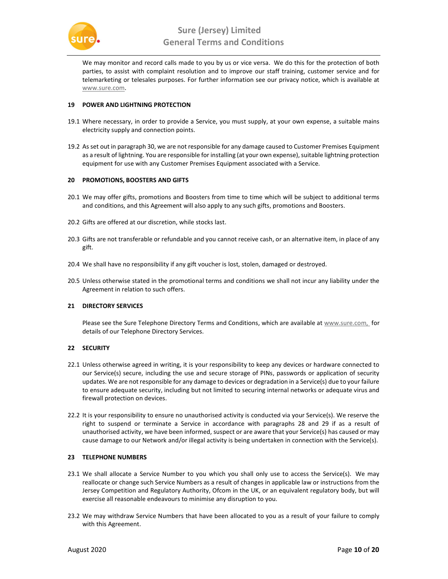

We may monitor and record calls made to you by us or vice versa. We do this for the protection of both parties, to assist with complaint resolution and to improve our staff training, customer service and for telemarketing or telesales purposes. For further information see our privacy notice, which is available at www.sure.com.

### 19 POWER AND LIGHTNING PROTECTION

- 19.1 Where necessary, in order to provide a Service, you must supply, at your own expense, a suitable mains electricity supply and connection points.
- 19.2 As set out in paragraph 30, we are not responsible for any damage caused to Customer Premises Equipment as a result of lightning. You are responsible for installing (at your own expense), suitable lightning protection equipment for use with any Customer Premises Equipment associated with a Service.

### 20 PROMOTIONS, BOOSTERS AND GIFTS

- 20.1 We may offer gifts, promotions and Boosters from time to time which will be subject to additional terms and conditions, and this Agreement will also apply to any such gifts, promotions and Boosters.
- 20.2 Gifts are offered at our discretion, while stocks last.
- 20.3 Gifts are not transferable or refundable and you cannot receive cash, or an alternative item, in place of any gift.
- 20.4 We shall have no responsibility if any gift voucher is lost, stolen, damaged or destroyed.
- 20.5 Unless otherwise stated in the promotional terms and conditions we shall not incur any liability under the Agreement in relation to such offers.

#### 21 DIRECTORY SERVICES

Please see the Sure Telephone Directory Terms and Conditions, which are available at www.sure.com, for details of our Telephone Directory Services.

# 22 SECURITY

- 22.1 Unless otherwise agreed in writing, it is your responsibility to keep any devices or hardware connected to our Service(s) secure, including the use and secure storage of PINs, passwords or application of security updates. We are not responsible for any damage to devices or degradation in a Service(s) due to your failure to ensure adequate security, including but not limited to securing internal networks or adequate virus and firewall protection on devices.
- 22.2 It is your responsibility to ensure no unauthorised activity is conducted via your Service(s). We reserve the right to suspend or terminate a Service in accordance with paragraphs 28 and 29 if as a result of unauthorised activity, we have been informed, suspect or are aware that your Service(s) has caused or may cause damage to our Network and/or illegal activity is being undertaken in connection with the Service(s).

### 23 TELEPHONE NUMBERS

- 23.1 We shall allocate a Service Number to you which you shall only use to access the Service(s). We may reallocate or change such Service Numbers as a result of changes in applicable law or instructions from the Jersey Competition and Regulatory Authority, Ofcom in the UK, or an equivalent regulatory body, but will exercise all reasonable endeavours to minimise any disruption to you.
- 23.2 We may withdraw Service Numbers that have been allocated to you as a result of your failure to comply with this Agreement.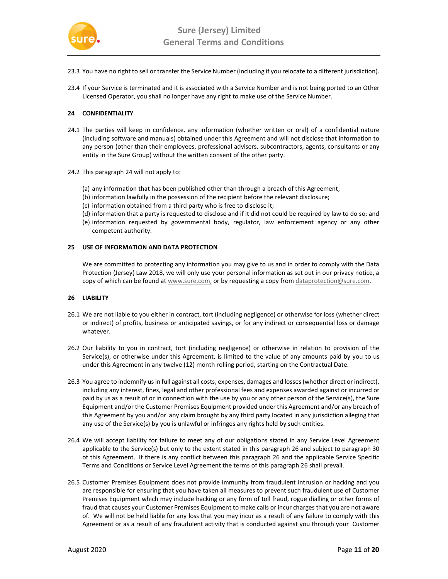

- 23.3 You have no right to sell or transfer the Service Number (including if you relocate to a different jurisdiction).
- 23.4 If your Service is terminated and it is associated with a Service Number and is not being ported to an Other Licensed Operator, you shall no longer have any right to make use of the Service Number.

### 24 CONFIDENTIALITY

- 24.1 The parties will keep in confidence, any information (whether written or oral) of a confidential nature (including software and manuals) obtained under this Agreement and will not disclose that information to any person (other than their employees, professional advisers, subcontractors, agents, consultants or any entity in the Sure Group) without the written consent of the other party.
- 24.2 This paragraph 24 will not apply to:
	- (a) any information that has been published other than through a breach of this Agreement;
	- (b) information lawfully in the possession of the recipient before the relevant disclosure;
	- (c) information obtained from a third party who is free to disclose it;
	- (d) information that a party is requested to disclose and if it did not could be required by law to do so; and
	- (e) information requested by governmental body, regulator, law enforcement agency or any other competent authority.

#### 25 USE OF INFORMATION AND DATA PROTECTION

We are committed to protecting any information you may give to us and in order to comply with the Data Protection (Jersey) Law 2018, we will only use your personal information as set out in our privacy notice, a copy of which can be found at www.sure.com, or by requesting a copy from dataprotection@sure.com.

### 26 LIABILITY

- 26.1 We are not liable to you either in contract, tort (including negligence) or otherwise for loss (whether direct or indirect) of profits, business or anticipated savings, or for any indirect or consequential loss or damage whatever.
- 26.2 Our liability to you in contract, tort (including negligence) or otherwise in relation to provision of the Service(s), or otherwise under this Agreement, is limited to the value of any amounts paid by you to us under this Agreement in any twelve (12) month rolling period, starting on the Contractual Date.
- 26.3 You agree to indemnify us in full against all costs, expenses, damages and losses (whether direct or indirect), including any interest, fines, legal and other professional fees and expenses awarded against or incurred or paid by us as a result of or in connection with the use by you or any other person of the Service(s), the Sure Equipment and/or the Customer Premises Equipment provided under this Agreement and/or any breach of this Agreement by you and/or any claim brought by any third party located in any jurisdiction alleging that any use of the Service(s) by you is unlawful or infringes any rights held by such entities.
- 26.4 We will accept liability for failure to meet any of our obligations stated in any Service Level Agreement applicable to the Service(s) but only to the extent stated in this paragraph 26 and subject to paragraph 30 of this Agreement. If there is any conflict between this paragraph 26 and the applicable Service Specific Terms and Conditions or Service Level Agreement the terms of this paragraph 26 shall prevail.
- 26.5 Customer Premises Equipment does not provide immunity from fraudulent intrusion or hacking and you are responsible for ensuring that you have taken all measures to prevent such fraudulent use of Customer Premises Equipment which may include hacking or any form of toll fraud, rogue dialling or other forms of fraud that causes your Customer Premises Equipment to make calls or incur charges that you are not aware of. We will not be held liable for any loss that you may incur as a result of any failure to comply with this Agreement or as a result of any fraudulent activity that is conducted against you through your Customer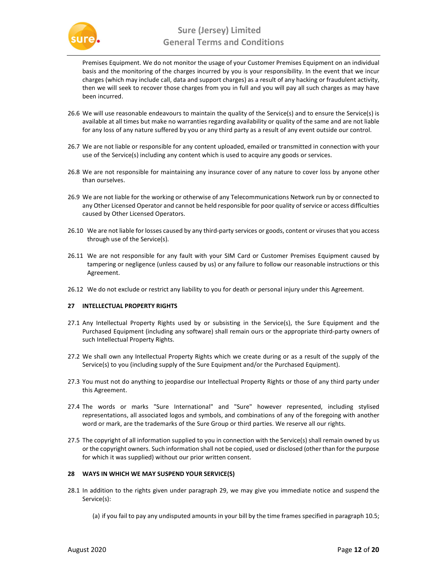

Premises Equipment. We do not monitor the usage of your Customer Premises Equipment on an individual basis and the monitoring of the charges incurred by you is your responsibility. In the event that we incur charges (which may include call, data and support charges) as a result of any hacking or fraudulent activity, then we will seek to recover those charges from you in full and you will pay all such charges as may have been incurred.

- 26.6 We will use reasonable endeavours to maintain the quality of the Service(s) and to ensure the Service(s) is available at all times but make no warranties regarding availability or quality of the same and are not liable for any loss of any nature suffered by you or any third party as a result of any event outside our control.
- 26.7 We are not liable or responsible for any content uploaded, emailed or transmitted in connection with your use of the Service(s) including any content which is used to acquire any goods or services.
- 26.8 We are not responsible for maintaining any insurance cover of any nature to cover loss by anyone other than ourselves.
- 26.9 We are not liable for the working or otherwise of any Telecommunications Network run by or connected to any Other Licensed Operator and cannot be held responsible for poor quality of service or access difficulties caused by Other Licensed Operators.
- 26.10 We are not liable for losses caused by any third-party services or goods, content or viruses that you access through use of the Service(s).
- 26.11 We are not responsible for any fault with your SIM Card or Customer Premises Equipment caused by tampering or negligence (unless caused by us) or any failure to follow our reasonable instructions or this Agreement.
- 26.12 We do not exclude or restrict any liability to you for death or personal injury under this Agreement.

# 27 INTELLECTUAL PROPERTY RIGHTS

- 27.1 Any Intellectual Property Rights used by or subsisting in the Service(s), the Sure Equipment and the Purchased Equipment (including any software) shall remain ours or the appropriate third-party owners of such Intellectual Property Rights.
- 27.2 We shall own any Intellectual Property Rights which we create during or as a result of the supply of the Service(s) to you (including supply of the Sure Equipment and/or the Purchased Equipment).
- 27.3 You must not do anything to jeopardise our Intellectual Property Rights or those of any third party under this Agreement.
- 27.4 The words or marks "Sure International" and "Sure" however represented, including stylised representations, all associated logos and symbols, and combinations of any of the foregoing with another word or mark, are the trademarks of the Sure Group or third parties. We reserve all our rights.
- 27.5 The copyright of all information supplied to you in connection with the Service(s) shall remain owned by us or the copyright owners. Such information shall not be copied, used or disclosed (other than for the purpose for which it was supplied) without our prior written consent.

# 28 WAYS IN WHICH WE MAY SUSPEND YOUR SERVICE(S)

- 28.1 In addition to the rights given under paragraph 29, we may give you immediate notice and suspend the Service(s):
	- (a) if you fail to pay any undisputed amounts in your bill by the time frames specified in paragraph 10.5;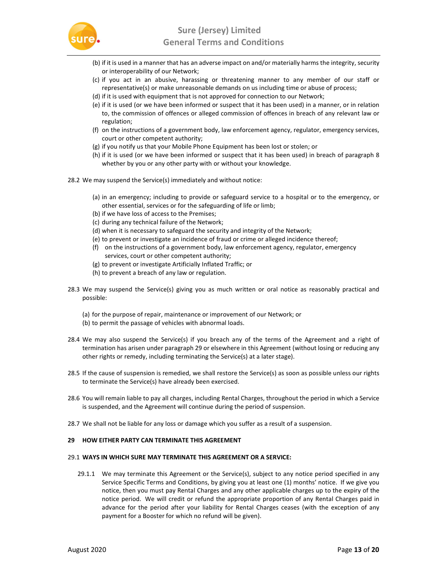

- (b) if it is used in a manner that has an adverse impact on and/or materially harms the integrity, security or interoperability of our Network;
- (c) if you act in an abusive, harassing or threatening manner to any member of our staff or representative(s) or make unreasonable demands on us including time or abuse of process;
- (d) if it is used with equipment that is not approved for connection to our Network;
- (e) if it is used (or we have been informed or suspect that it has been used) in a manner, or in relation to, the commission of offences or alleged commission of offences in breach of any relevant law or regulation;
- (f) on the instructions of a government body, law enforcement agency, regulator, emergency services, court or other competent authority;
- (g) if you notify us that your Mobile Phone Equipment has been lost or stolen; or
- (h) if it is used (or we have been informed or suspect that it has been used) in breach of paragraph 8 whether by you or any other party with or without your knowledge.
- 28.2 We may suspend the Service(s) immediately and without notice:
	- (a) in an emergency; including to provide or safeguard service to a hospital or to the emergency, or other essential, services or for the safeguarding of life or limb;
	- (b) if we have loss of access to the Premises;
	- (c) during any technical failure of the Network;
	- (d) when it is necessary to safeguard the security and integrity of the Network;
	- (e) to prevent or investigate an incidence of fraud or crime or alleged incidence thereof;
	- (f) on the instructions of a government body, law enforcement agency, regulator, emergency services, court or other competent authority;
	- (g) to prevent or investigate Artificially Inflated Traffic; or
	- (h) to prevent a breach of any law or regulation.
- 28.3 We may suspend the Service(s) giving you as much written or oral notice as reasonably practical and possible:
	- (a) for the purpose of repair, maintenance or improvement of our Network; or
	- (b) to permit the passage of vehicles with abnormal loads.
- 28.4 We may also suspend the Service(s) if you breach any of the terms of the Agreement and a right of termination has arisen under paragraph 29 or elsewhere in this Agreement (without losing or reducing any other rights or remedy, including terminating the Service(s) at a later stage).
- 28.5 If the cause of suspension is remedied, we shall restore the Service(s) as soon as possible unless our rights to terminate the Service(s) have already been exercised.
- 28.6 You will remain liable to pay all charges, including Rental Charges, throughout the period in which a Service is suspended, and the Agreement will continue during the period of suspension.
- 28.7 We shall not be liable for any loss or damage which you suffer as a result of a suspension.

#### 29 HOW EITHER PARTY CAN TERMINATE THIS AGREEMENT

#### 29.1 WAYS IN WHICH SURE MAY TERMINATE THIS AGREEMENT OR A SERVICE:

29.1.1 We may terminate this Agreement or the Service(s), subject to any notice period specified in any Service Specific Terms and Conditions, by giving you at least one (1) months' notice. If we give you notice, then you must pay Rental Charges and any other applicable charges up to the expiry of the notice period. We will credit or refund the appropriate proportion of any Rental Charges paid in advance for the period after your liability for Rental Charges ceases (with the exception of any payment for a Booster for which no refund will be given).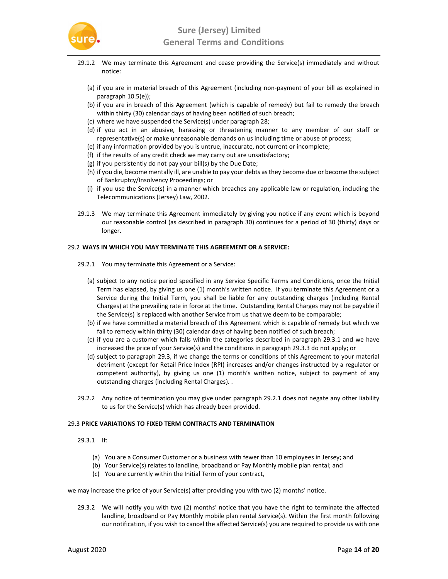

- 29.1.2 We may terminate this Agreement and cease providing the Service(s) immediately and without notice:
	- (a) if you are in material breach of this Agreement (including non-payment of your bill as explained in paragraph 10.5(e));
	- (b) if you are in breach of this Agreement (which is capable of remedy) but fail to remedy the breach within thirty (30) calendar days of having been notified of such breach;
	- (c) where we have suspended the Service(s) under paragraph 28;
	- (d) if you act in an abusive, harassing or threatening manner to any member of our staff or representative(s) or make unreasonable demands on us including time or abuse of process;
	- (e) if any information provided by you is untrue, inaccurate, not current or incomplete;
	- (f) if the results of any credit check we may carry out are unsatisfactory;
	- (g) if you persistently do not pay your bill(s) by the Due Date;
	- (h) if you die, become mentally ill, are unable to pay your debts as they become due or become the subject of Bankruptcy/Insolvency Proceedings; or
	- (i) if you use the Service(s) in a manner which breaches any applicable law or regulation, including the Telecommunications (Jersey) Law, 2002.
- 29.1.3 We may terminate this Agreement immediately by giving you notice if any event which is beyond our reasonable control (as described in paragraph 30) continues for a period of 30 (thirty) days or longer.

#### 29.2 WAYS IN WHICH YOU MAY TERMINATE THIS AGREEMENT OR A SERVICE:

- 29.2.1 You may terminate this Agreement or a Service:
	- (a) subject to any notice period specified in any Service Specific Terms and Conditions, once the Initial Term has elapsed, by giving us one (1) month's written notice. If you terminate this Agreement or a Service during the Initial Term, you shall be liable for any outstanding charges (including Rental Charges) at the prevailing rate in force at the time. Outstanding Rental Charges may not be payable if the Service(s) is replaced with another Service from us that we deem to be comparable;
	- (b) if we have committed a material breach of this Agreement which is capable of remedy but which we fail to remedy within thirty (30) calendar days of having been notified of such breach;
	- (c) if you are a customer which falls within the categories described in paragraph 29.3.1 and we have increased the price of your Service(s) and the conditions in paragraph 29.3.3 do not apply; or
	- (d) subject to paragraph 29.3, if we change the terms or conditions of this Agreement to your material detriment (except for Retail Price Index (RPI) increases and/or changes instructed by a regulator or competent authority), by giving us one (1) month's written notice, subject to payment of any outstanding charges (including Rental Charges). .
- 29.2.2 Any notice of termination you may give under paragraph 29.2.1 does not negate any other liability to us for the Service(s) which has already been provided.

#### 29.3 PRICE VARIATIONS TO FIXED TERM CONTRACTS AND TERMINATION

- 29.3.1 If:
	- (a) You are a Consumer Customer or a business with fewer than 10 employees in Jersey; and
	- (b) Your Service(s) relates to landline, broadband or Pay Monthly mobile plan rental; and
	- (c) You are currently within the Initial Term of your contract,

we may increase the price of your Service(s) after providing you with two (2) months' notice.

29.3.2 We will notify you with two (2) months' notice that you have the right to terminate the affected landline, broadband or Pay Monthly mobile plan rental Service(s). Within the first month following our notification, if you wish to cancel the affected Service(s) you are required to provide us with one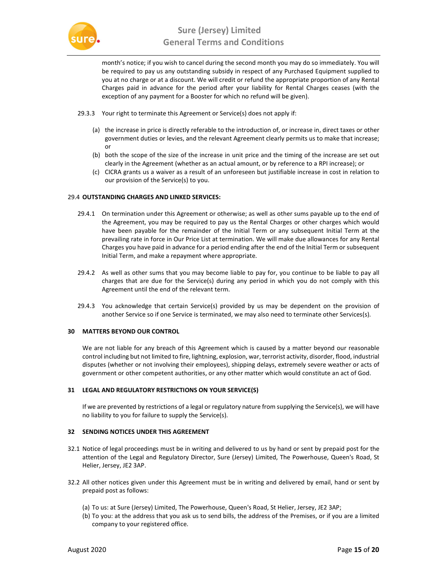

month's notice; if you wish to cancel during the second month you may do so immediately. You will be required to pay us any outstanding subsidy in respect of any Purchased Equipment supplied to you at no charge or at a discount. We will credit or refund the appropriate proportion of any Rental Charges paid in advance for the period after your liability for Rental Charges ceases (with the exception of any payment for a Booster for which no refund will be given).

- 29.3.3 Your right to terminate this Agreement or Service(s) does not apply if:
	- (a) the increase in price is directly referable to the introduction of, or increase in, direct taxes or other government duties or levies, and the relevant Agreement clearly permits us to make that increase; or
	- (b) both the scope of the size of the increase in unit price and the timing of the increase are set out clearly in the Agreement (whether as an actual amount, or by reference to a RPI increase); or
	- (c) CICRA grants us a waiver as a result of an unforeseen but justifiable increase in cost in relation to our provision of the Service(s) to you.

### 29.4 OUTSTANDING CHARGES AND LINKED SERVICES:

- 29.4.1 On termination under this Agreement or otherwise; as well as other sums payable up to the end of the Agreement, you may be required to pay us the Rental Charges or other charges which would have been payable for the remainder of the Initial Term or any subsequent Initial Term at the prevailing rate in force in Our Price List at termination. We will make due allowances for any Rental Charges you have paid in advance for a period ending after the end of the Initial Term or subsequent Initial Term, and make a repayment where appropriate.
- 29.4.2 As well as other sums that you may become liable to pay for, you continue to be liable to pay all charges that are due for the Service(s) during any period in which you do not comply with this Agreement until the end of the relevant term.
- 29.4.3 You acknowledge that certain Service(s) provided by us may be dependent on the provision of another Service so if one Service is terminated, we may also need to terminate other Services(s).

# 30 MATTERS BEYOND OUR CONTROL

We are not liable for any breach of this Agreement which is caused by a matter beyond our reasonable control including but not limited to fire, lightning, explosion, war, terrorist activity, disorder, flood, industrial disputes (whether or not involving their employees), shipping delays, extremely severe weather or acts of government or other competent authorities, or any other matter which would constitute an act of God.

# 31 LEGAL AND REGULATORY RESTRICTIONS ON YOUR SERVICE(S)

If we are prevented by restrictions of a legal or regulatory nature from supplying the Service(s), we will have no liability to you for failure to supply the Service(s).

# 32 SENDING NOTICES UNDER THIS AGREEMENT

- 32.1 Notice of legal proceedings must be in writing and delivered to us by hand or sent by prepaid post for the attention of the Legal and Regulatory Director, Sure (Jersey) Limited, The Powerhouse, Queen's Road, St Helier, Jersey, JE2 3AP.
- 32.2 All other notices given under this Agreement must be in writing and delivered by email, hand or sent by prepaid post as follows:
	- (a) To us: at Sure (Jersey) Limited, The Powerhouse, Queen's Road, St Helier, Jersey, JE2 3AP;
	- (b) To you: at the address that you ask us to send bills, the address of the Premises, or if you are a limited company to your registered office.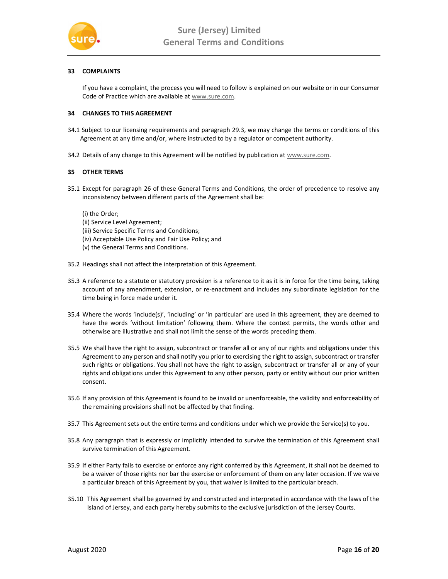

# 33 COMPLAINTS

If you have a complaint, the process you will need to follow is explained on our website or in our Consumer Code of Practice which are available at www.sure.com.

### 34 CHANGES TO THIS AGREEMENT

- 34.1 Subject to our licensing requirements and paragraph 29.3, we may change the terms or conditions of this Agreement at any time and/or, where instructed to by a regulator or competent authority.
- 34.2 Details of any change to this Agreement will be notified by publication at www.sure.com.

### 35 OTHER TERMS

35.1 Except for paragraph 26 of these General Terms and Conditions, the order of precedence to resolve any inconsistency between different parts of the Agreement shall be:

### (i) the Order;

- (ii) Service Level Agreement;
- (iii) Service Specific Terms and Conditions;
- (iv) Acceptable Use Policy and Fair Use Policy; and
- (v) the General Terms and Conditions.
- 35.2 Headings shall not affect the interpretation of this Agreement.
- 35.3 A reference to a statute or statutory provision is a reference to it as it is in force for the time being, taking account of any amendment, extension, or re-enactment and includes any subordinate legislation for the time being in force made under it.
- 35.4 Where the words 'include(s)', 'including' or 'in particular' are used in this agreement, they are deemed to have the words 'without limitation' following them. Where the context permits, the words other and otherwise are illustrative and shall not limit the sense of the words preceding them.
- 35.5 We shall have the right to assign, subcontract or transfer all or any of our rights and obligations under this Agreement to any person and shall notify you prior to exercising the right to assign, subcontract or transfer such rights or obligations. You shall not have the right to assign, subcontract or transfer all or any of your rights and obligations under this Agreement to any other person, party or entity without our prior written consent.
- 35.6 If any provision of this Agreement is found to be invalid or unenforceable, the validity and enforceability of the remaining provisions shall not be affected by that finding.
- 35.7 This Agreement sets out the entire terms and conditions under which we provide the Service(s) to you.
- 35.8 Any paragraph that is expressly or implicitly intended to survive the termination of this Agreement shall survive termination of this Agreement.
- 35.9 If either Party fails to exercise or enforce any right conferred by this Agreement, it shall not be deemed to be a waiver of those rights nor bar the exercise or enforcement of them on any later occasion. If we waive a particular breach of this Agreement by you, that waiver is limited to the particular breach.
- 35.10 This Agreement shall be governed by and constructed and interpreted in accordance with the laws of the Island of Jersey, and each party hereby submits to the exclusive jurisdiction of the Jersey Courts.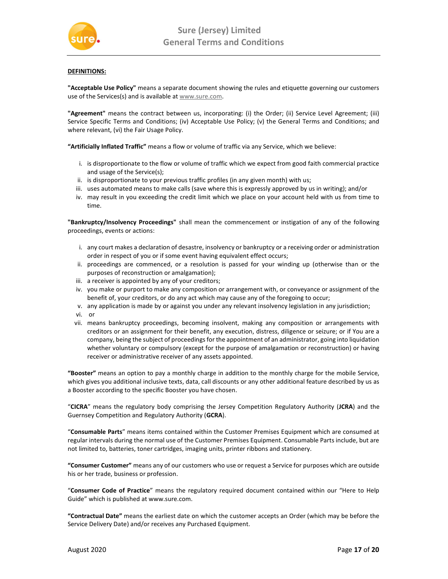

# DEFINITIONS:

"Acceptable Use Policy" means a separate document showing the rules and etiquette governing our customers use of the Services(s) and is available at www.sure.com.

"Agreement" means the contract between us, incorporating: (i) the Order; (ii) Service Level Agreement; (iii) Service Specific Terms and Conditions; (iv) Acceptable Use Policy; (v) the General Terms and Conditions; and where relevant, (vi) the Fair Usage Policy.

"Artificially Inflated Traffic" means a flow or volume of traffic via any Service, which we believe:

- i. is disproportionate to the flow or volume of traffic which we expect from good faith commercial practice and usage of the Service(s);
- ii. is disproportionate to your previous traffic profiles (in any given month) with us;
- iii. uses automated means to make calls (save where this is expressly approved by us in writing); and/or
- iv. may result in you exceeding the credit limit which we place on your account held with us from time to time.

"Bankruptcy/Insolvency Proceedings" shall mean the commencement or instigation of any of the following proceedings, events or actions:

- i. any court makes a declaration of desastre, insolvency or bankruptcy or a receiving order or administration order in respect of you or if some event having equivalent effect occurs;
- ii. proceedings are commenced, or a resolution is passed for your winding up (otherwise than or the purposes of reconstruction or amalgamation);
- iii. a receiver is appointed by any of your creditors;
- iv. you make or purport to make any composition or arrangement with, or conveyance or assignment of the benefit of, your creditors, or do any act which may cause any of the foregoing to occur;
- v. any application is made by or against you under any relevant insolvency legislation in any jurisdiction;
- vi. or
- vii. means bankruptcy proceedings, becoming insolvent, making any composition or arrangements with creditors or an assignment for their benefit, any execution, distress, diligence or seizure; or if You are a company, being the subject of proceedings for the appointment of an administrator, going into liquidation whether voluntary or compulsory (except for the purpose of amalgamation or reconstruction) or having receiver or administrative receiver of any assets appointed.

"Booster" means an option to pay a monthly charge in addition to the monthly charge for the mobile Service, which gives you additional inclusive texts, data, call discounts or any other additional feature described by us as a Booster according to the specific Booster you have chosen.

"CICRA" means the regulatory body comprising the Jersey Competition Regulatory Authority (JCRA) and the Guernsey Competition and Regulatory Authority (GCRA).

"Consumable Parts" means items contained within the Customer Premises Equipment which are consumed at regular intervals during the normal use of the Customer Premises Equipment. Consumable Parts include, but are not limited to, batteries, toner cartridges, imaging units, printer ribbons and stationery.

"Consumer Customer" means any of our customers who use or request a Service for purposes which are outside his or her trade, business or profession.

"Consumer Code of Practice" means the regulatory required document contained within our "Here to Help Guide" which is published at www.sure.com.

"Contractual Date" means the earliest date on which the customer accepts an Order (which may be before the Service Delivery Date) and/or receives any Purchased Equipment.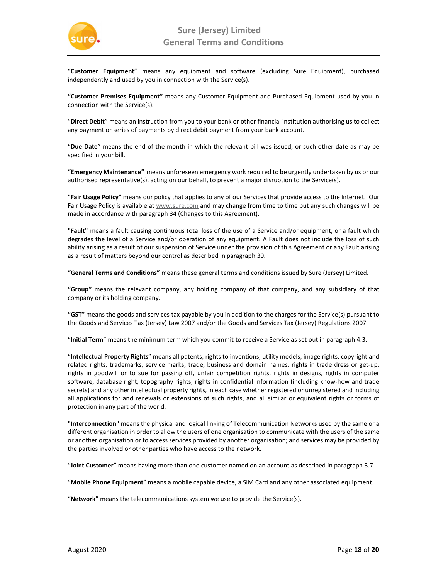

"Customer Equipment" means any equipment and software (excluding Sure Equipment), purchased independently and used by you in connection with the Service(s).

"Customer Premises Equipment" means any Customer Equipment and Purchased Equipment used by you in connection with the Service(s).

"Direct Debit" means an instruction from you to your bank or other financial institution authorising us to collect any payment or series of payments by direct debit payment from your bank account.

"Due Date" means the end of the month in which the relevant bill was issued, or such other date as may be specified in your bill.

"Emergency Maintenance" means unforeseen emergency work required to be urgently undertaken by us or our authorised representative(s), acting on our behalf, to prevent a major disruption to the Service(s).

"Fair Usage Policy" means our policy that applies to any of our Services that provide access to the Internet. Our Fair Usage Policy is available at www.sure.com and may change from time to time but any such changes will be made in accordance with paragraph 34 (Changes to this Agreement).

"Fault" means a fault causing continuous total loss of the use of a Service and/or equipment, or a fault which degrades the level of a Service and/or operation of any equipment. A Fault does not include the loss of such ability arising as a result of our suspension of Service under the provision of this Agreement or any Fault arising as a result of matters beyond our control as described in paragraph 30.

"General Terms and Conditions" means these general terms and conditions issued by Sure (Jersey) Limited.

"Group" means the relevant company, any holding company of that company, and any subsidiary of that company or its holding company.

"GST" means the goods and services tax payable by you in addition to the charges for the Service(s) pursuant to the Goods and Services Tax (Jersey) Law 2007 and/or the Goods and Services Tax (Jersey) Regulations 2007.

"Initial Term" means the minimum term which you commit to receive a Service as set out in paragraph 4.3.

"Intellectual Property Rights" means all patents, rights to inventions, utility models, image rights, copyright and related rights, trademarks, service marks, trade, business and domain names, rights in trade dress or get-up, rights in goodwill or to sue for passing off, unfair competition rights, rights in designs, rights in computer software, database right, topography rights, rights in confidential information (including know-how and trade secrets) and any other intellectual property rights, in each case whether registered or unregistered and including all applications for and renewals or extensions of such rights, and all similar or equivalent rights or forms of protection in any part of the world.

"Interconnection" means the physical and logical linking of Telecommunication Networks used by the same or a different organisation in order to allow the users of one organisation to communicate with the users of the same or another organisation or to access services provided by another organisation; and services may be provided by the parties involved or other parties who have access to the network.

"Joint Customer" means having more than one customer named on an account as described in paragraph 3.7.

"Mobile Phone Equipment" means a mobile capable device, a SIM Card and any other associated equipment.

"Network" means the telecommunications system we use to provide the Service(s).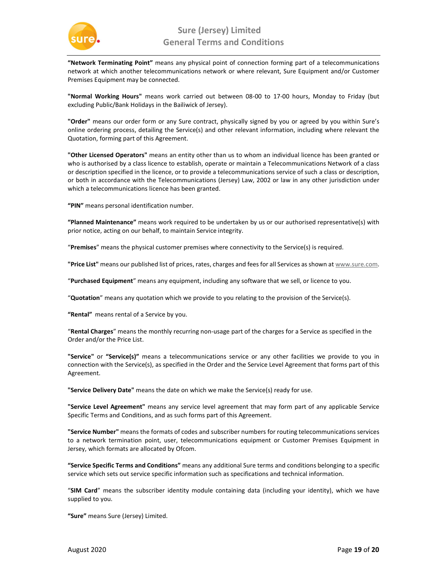

"Network Terminating Point" means any physical point of connection forming part of a telecommunications network at which another telecommunications network or where relevant, Sure Equipment and/or Customer Premises Equipment may be connected.

"Normal Working Hours" means work carried out between 08-00 to 17-00 hours, Monday to Friday (but excluding Public/Bank Holidays in the Bailiwick of Jersey).

"Order" means our order form or any Sure contract, physically signed by you or agreed by you within Sure's online ordering process, detailing the Service(s) and other relevant information, including where relevant the Quotation, forming part of this Agreement.

"Other Licensed Operators" means an entity other than us to whom an individual licence has been granted or who is authorised by a class licence to establish, operate or maintain a Telecommunications Network of a class or description specified in the licence, or to provide a telecommunications service of such a class or description, or both in accordance with the Telecommunications (Jersey) Law, 2002 or law in any other jurisdiction under which a telecommunications licence has been granted.

"PIN" means personal identification number.

"Planned Maintenance" means work required to be undertaken by us or our authorised representative(s) with prior notice, acting on our behalf, to maintain Service integrity.

"Premises" means the physical customer premises where connectivity to the Service(s) is required.

"Price List" means our published list of prices, rates, charges and fees for all Services as shown at www.sure.com.

"Purchased Equipment" means any equipment, including any software that we sell, or licence to you.

"Quotation" means any quotation which we provide to you relating to the provision of the Service(s).

"Rental" means rental of a Service by you.

"Rental Charges" means the monthly recurring non-usage part of the charges for a Service as specified in the Order and/or the Price List.

"Service" or "Service(s)" means a telecommunications service or any other facilities we provide to you in connection with the Service(s), as specified in the Order and the Service Level Agreement that forms part of this Agreement.

"Service Delivery Date" means the date on which we make the Service(s) ready for use.

"Service Level Agreement" means any service level agreement that may form part of any applicable Service Specific Terms and Conditions, and as such forms part of this Agreement.

"Service Number" means the formats of codes and subscriber numbers for routing telecommunications services to a network termination point, user, telecommunications equipment or Customer Premises Equipment in Jersey, which formats are allocated by Ofcom.

"Service Specific Terms and Conditions" means any additional Sure terms and conditions belonging to a specific service which sets out service specific information such as specifications and technical information.

"SIM Card" means the subscriber identity module containing data (including your identity), which we have supplied to you.

"Sure" means Sure (Jersey) Limited.